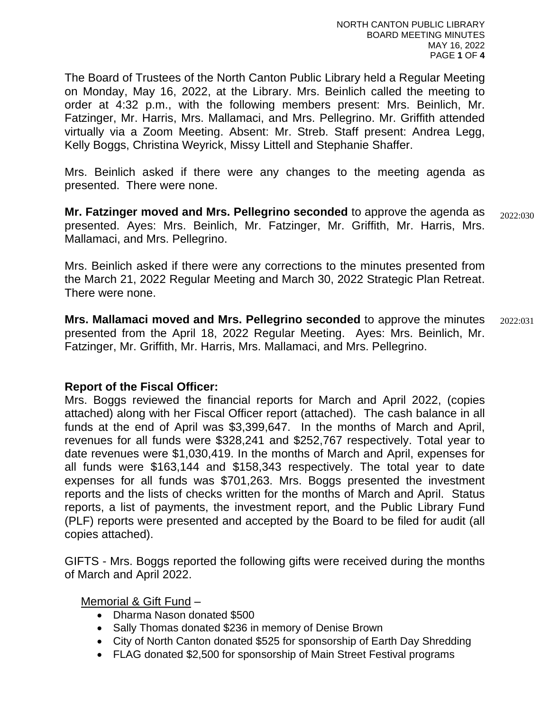The Board of Trustees of the North Canton Public Library held a Regular Meeting on Monday, May 16, 2022, at the Library. Mrs. Beinlich called the meeting to order at 4:32 p.m., with the following members present: Mrs. Beinlich, Mr. Fatzinger, Mr. Harris, Mrs. Mallamaci, and Mrs. Pellegrino. Mr. Griffith attended virtually via a Zoom Meeting. Absent: Mr. Streb. Staff present: Andrea Legg, Kelly Boggs, Christina Weyrick, Missy Littell and Stephanie Shaffer.

Mrs. Beinlich asked if there were any changes to the meeting agenda as presented. There were none.

**Mr. Fatzinger moved and Mrs. Pellegrino seconded** to approve the agenda as presented. Ayes: Mrs. Beinlich, Mr. Fatzinger, Mr. Griffith, Mr. Harris, Mrs. Mallamaci, and Mrs. Pellegrino. 2022:030

Mrs. Beinlich asked if there were any corrections to the minutes presented from the March 21, 2022 Regular Meeting and March 30, 2022 Strategic Plan Retreat. There were none.

**Mrs. Mallamaci moved and Mrs. Pellegrino seconded** to approve the minutes presented from the April 18, 2022 Regular Meeting. Ayes: Mrs. Beinlich, Mr. Fatzinger, Mr. Griffith, Mr. Harris, Mrs. Mallamaci, and Mrs. Pellegrino. 2022:031

#### **Report of the Fiscal Officer:**

Mrs. Boggs reviewed the financial reports for March and April 2022, (copies attached) along with her Fiscal Officer report (attached). The cash balance in all funds at the end of April was \$3,399,647. In the months of March and April, revenues for all funds were \$328,241 and \$252,767 respectively. Total year to date revenues were \$1,030,419. In the months of March and April, expenses for all funds were \$163,144 and \$158,343 respectively. The total year to date expenses for all funds was \$701,263. Mrs. Boggs presented the investment reports and the lists of checks written for the months of March and April. Status reports, a list of payments, the investment report, and the Public Library Fund (PLF) reports were presented and accepted by the Board to be filed for audit (all copies attached).

GIFTS - Mrs. Boggs reported the following gifts were received during the months of March and April 2022.

Memorial & Gift Fund –

- Dharma Nason donated \$500
- Sally Thomas donated \$236 in memory of Denise Brown
- City of North Canton donated \$525 for sponsorship of Earth Day Shredding
- FLAG donated \$2,500 for sponsorship of Main Street Festival programs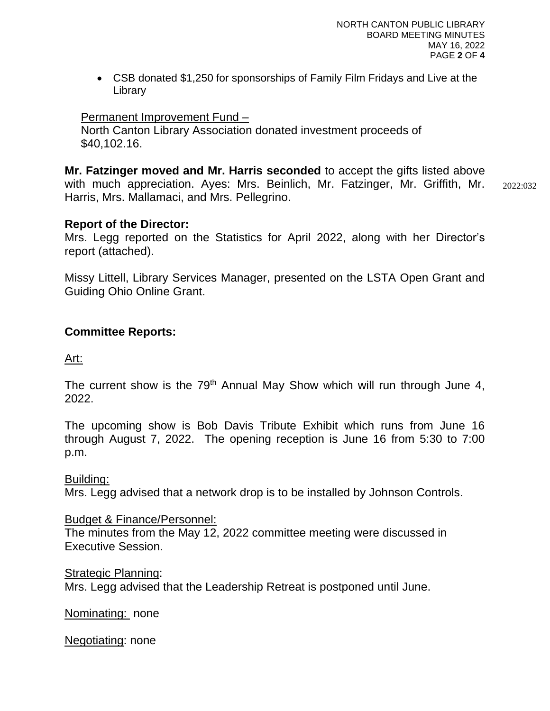• CSB donated \$1,250 for sponsorships of Family Film Fridays and Live at the Library

### Permanent Improvement Fund –

 North Canton Library Association donated investment proceeds of \$40,102.16.

**Mr. Fatzinger moved and Mr. Harris seconded** to accept the gifts listed above with much appreciation. Ayes: Mrs. Beinlich, Mr. Fatzinger, Mr. Griffith, Mr. Harris, Mrs. Mallamaci, and Mrs. Pellegrino. 2022:032

#### **Report of the Director:**

Mrs. Legg reported on the Statistics for April 2022, along with her Director's report (attached).

Missy Littell, Library Services Manager, presented on the LSTA Open Grant and Guiding Ohio Online Grant.

#### **Committee Reports:**

Art:

The current show is the  $79<sup>th</sup>$  Annual May Show which will run through June 4, 2022.

The upcoming show is Bob Davis Tribute Exhibit which runs from June 16 through August 7, 2022. The opening reception is June 16 from 5:30 to 7:00 p.m.

Building:

Mrs. Legg advised that a network drop is to be installed by Johnson Controls.

Budget & Finance/Personnel:

The minutes from the May 12, 2022 committee meeting were discussed in Executive Session.

Strategic Planning:

Mrs. Legg advised that the Leadership Retreat is postponed until June.

Nominating: none

Negotiating: none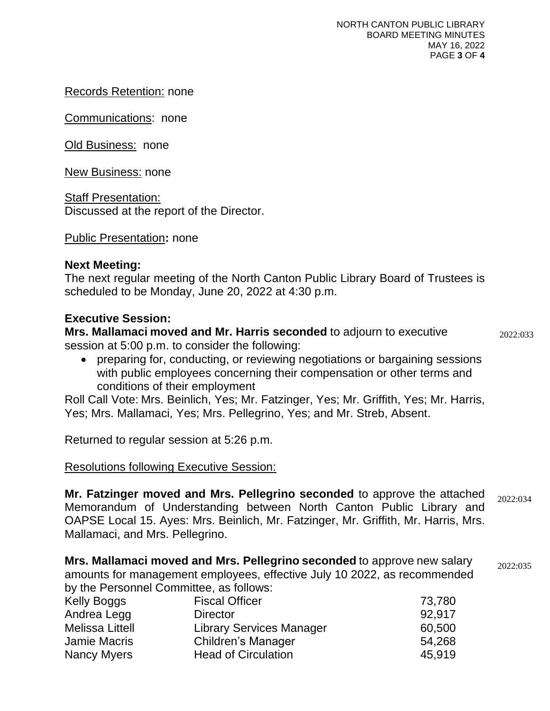Records Retention: none

Communications: none

Old Business: none

New Business: none

Staff Presentation: Discussed at the report of the Director.

Public Presentation**:** none

# **Next Meeting:**

The next regular meeting of the North Canton Public Library Board of Trustees is scheduled to be Monday, June 20, 2022 at 4:30 p.m.

# **Executive Session:**

**Mrs. Mallamaci moved and Mr. Harris seconded** to adjourn to executive session at 5:00 p.m. to consider the following:

2022:033

• preparing for, conducting, or reviewing negotiations or bargaining sessions with public employees concerning their compensation or other terms and conditions of their employment

Roll Call Vote: Mrs. Beinlich, Yes; Mr. Fatzinger, Yes; Mr. Griffith, Yes; Mr. Harris, Yes; Mrs. Mallamaci, Yes; Mrs. Pellegrino, Yes; and Mr. Streb, Absent.

Returned to regular session at 5:26 p.m.

# Resolutions following Executive Session:

**Mr. Fatzinger moved and Mrs. Pellegrino seconded** to approve the attached Memorandum of Understanding between North Canton Public Library and OAPSE Local 15. Ayes: Mrs. Beinlich, Mr. Fatzinger, Mr. Griffith, Mr. Harris, Mrs. Mallamaci, and Mrs. Pellegrino. 2022:034

**Mrs. Mallamaci moved and Mrs. Pellegrino seconded** to approve new salary amounts for management employees, effective July 10 2022, as recommended by the Personnel Committee, as follows: 2022:035

| <b>Kelly Boggs</b>     | <b>Fiscal Officer</b>           | 73,780 |
|------------------------|---------------------------------|--------|
| Andrea Legg            | <b>Director</b>                 | 92.917 |
| <b>Melissa Littell</b> | <b>Library Services Manager</b> | 60,500 |
| <b>Jamie Macris</b>    | Children's Manager              | 54,268 |
| Nancy Myers            | <b>Head of Circulation</b>      | 45,919 |
|                        |                                 |        |